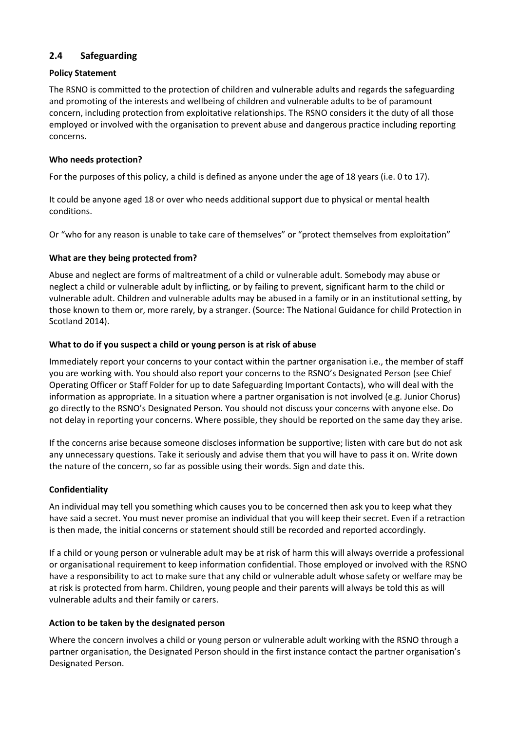# **2.4 Safeguarding**

# **Policy Statement**

The RSNO is committed to the protection of children and vulnerable adults and regards the safeguarding and promoting of the interests and wellbeing of children and vulnerable adults to be of paramount concern, including protection from exploitative relationships. The RSNO considers it the duty of all those employed or involved with the organisation to prevent abuse and dangerous practice including reporting concerns.

# **Who needs protection?**

For the purposes of this policy, a child is defined as anyone under the age of 18 years (i.e. 0 to 17).

It could be anyone aged 18 or over who needs additional support due to physical or mental health conditions.

Or "who for any reason is unable to take care of themselves" or "protect themselves from exploitation"

### **What are they being protected from?**

Abuse and neglect are forms of maltreatment of a child or vulnerable adult. Somebody may abuse or neglect a child or vulnerable adult by inflicting, or by failing to prevent, significant harm to the child or vulnerable adult. Children and vulnerable adults may be abused in a family or in an institutional setting, by those known to them or, more rarely, by a stranger. (Source: The National Guidance for child Protection in Scotland 2014).

### **What to do if you suspect a child or young person is at risk of abuse**

Immediately report your concerns to your contact within the partner organisation i.e., the member of staff you are working with. You should also report your concerns to the RSNO's Designated Person (see Chief Operating Officer or Staff Folder for up to date Safeguarding Important Contacts), who will deal with the information as appropriate. In a situation where a partner organisation is not involved (e.g. Junior Chorus) go directly to the RSNO's Designated Person. You should not discuss your concerns with anyone else. Do not delay in reporting your concerns. Where possible, they should be reported on the same day they arise.

If the concerns arise because someone discloses information be supportive; listen with care but do not ask any unnecessary questions. Take it seriously and advise them that you will have to pass it on. Write down the nature of the concern, so far as possible using their words. Sign and date this.

#### **Confidentiality**

An individual may tell you something which causes you to be concerned then ask you to keep what they have said a secret. You must never promise an individual that you will keep their secret. Even if a retraction is then made, the initial concerns or statement should still be recorded and reported accordingly.

If a child or young person or vulnerable adult may be at risk of harm this will always override a professional or organisational requirement to keep information confidential. Those employed or involved with the RSNO have a responsibility to act to make sure that any child or vulnerable adult whose safety or welfare may be at risk is protected from harm. Children, young people and their parents will always be told this as will vulnerable adults and their family or carers.

#### **Action to be taken by the designated person**

Where the concern involves a child or young person or vulnerable adult working with the RSNO through a partner organisation, the Designated Person should in the first instance contact the partner organisation's Designated Person.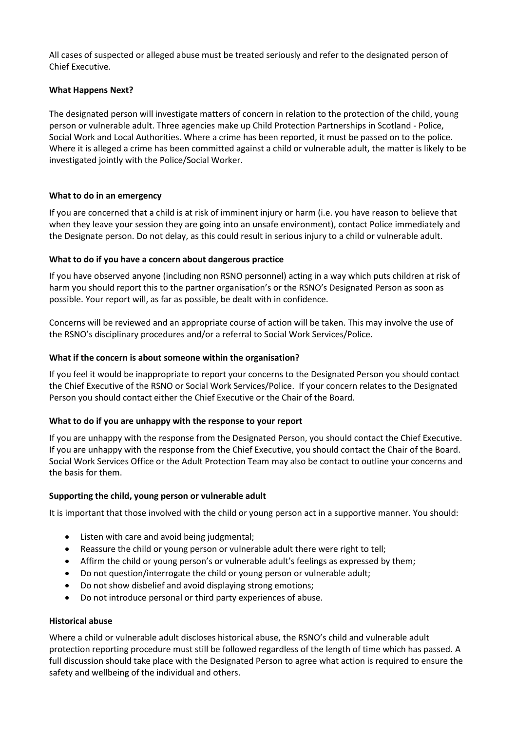All cases of suspected or alleged abuse must be treated seriously and refer to the designated person of Chief Executive.

# **What Happens Next?**

The designated person will investigate matters of concern in relation to the protection of the child, young person or vulnerable adult. Three agencies make up Child Protection Partnerships in Scotland - Police, Social Work and Local Authorities. Where a crime has been reported, it must be passed on to the police. Where it is alleged a crime has been committed against a child or vulnerable adult, the matter is likely to be investigated jointly with the Police/Social Worker.

#### **What to do in an emergency**

If you are concerned that a child is at risk of imminent injury or harm (i.e. you have reason to believe that when they leave your session they are going into an unsafe environment), contact Police immediately and the Designate person. Do not delay, as this could result in serious injury to a child or vulnerable adult.

### **What to do if you have a concern about dangerous practice**

If you have observed anyone (including non RSNO personnel) acting in a way which puts children at risk of harm you should report this to the partner organisation's or the RSNO's Designated Person as soon as possible. Your report will, as far as possible, be dealt with in confidence.

Concerns will be reviewed and an appropriate course of action will be taken. This may involve the use of the RSNO's disciplinary procedures and/or a referral to Social Work Services/Police.

#### **What if the concern is about someone within the organisation?**

If you feel it would be inappropriate to report your concerns to the Designated Person you should contact the Chief Executive of the RSNO or Social Work Services/Police. If your concern relates to the Designated Person you should contact either the Chief Executive or the Chair of the Board.

#### **What to do if you are unhappy with the response to your report**

If you are unhappy with the response from the Designated Person, you should contact the Chief Executive. If you are unhappy with the response from the Chief Executive, you should contact the Chair of the Board. Social Work Services Office or the Adult Protection Team may also be contact to outline your concerns and the basis for them.

#### **Supporting the child, young person or vulnerable adult**

It is important that those involved with the child or young person act in a supportive manner. You should:

- Listen with care and avoid being judgmental;
- Reassure the child or young person or vulnerable adult there were right to tell;
- Affirm the child or young person's or vulnerable adult's feelings as expressed by them;
- Do not question/interrogate the child or young person or vulnerable adult;
- Do not show disbelief and avoid displaying strong emotions;
- Do not introduce personal or third party experiences of abuse.

### **Historical abuse**

Where a child or vulnerable adult discloses historical abuse, the RSNO's child and vulnerable adult protection reporting procedure must still be followed regardless of the length of time which has passed. A full discussion should take place with the Designated Person to agree what action is required to ensure the safety and wellbeing of the individual and others.